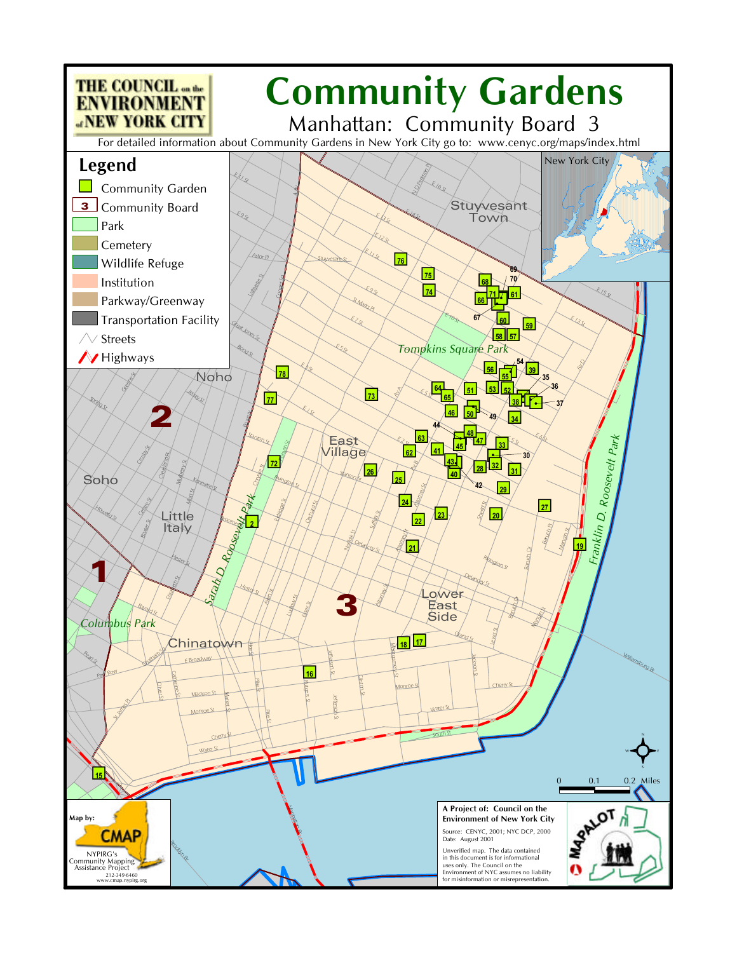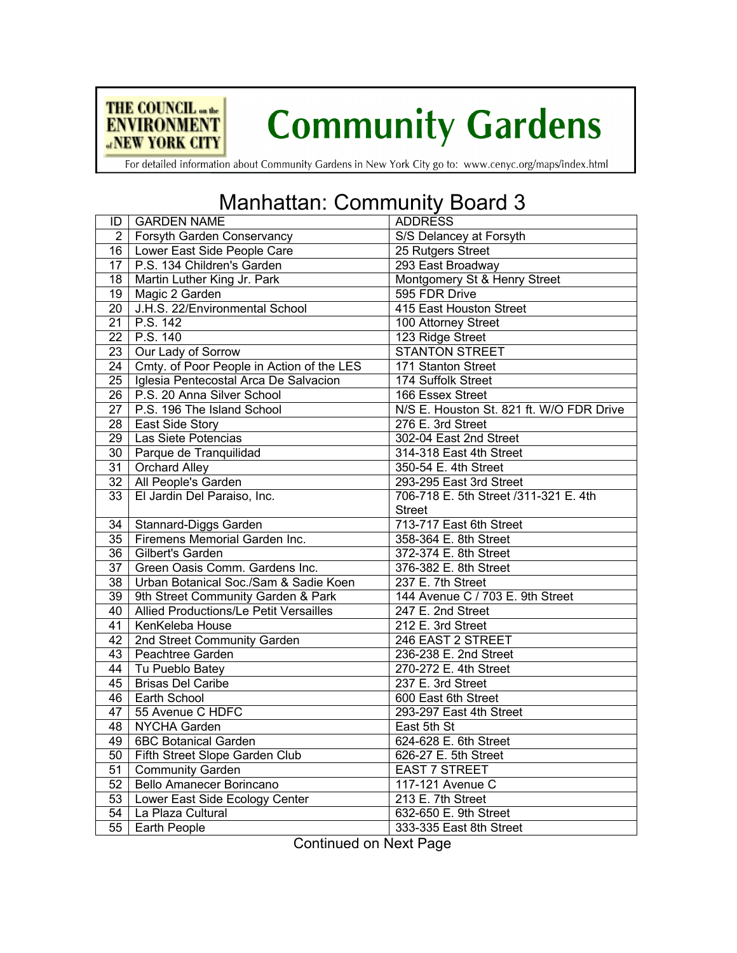

## **Community Gardens**

For detailed information about Community Gardens in New York City go to: www.cenyc.org/maps/index.html

## Manhattan: Community Board 3

| ID              | <b>GARDEN NAME</b>                        | <b>ADDRESS</b>                           |
|-----------------|-------------------------------------------|------------------------------------------|
| $\overline{2}$  | Forsyth Garden Conservancy                | S/S Delancey at Forsyth                  |
|                 | 16   Lower East Side People Care          | 25 Rutgers Street                        |
|                 | 17   P.S. 134 Children's Garden           | 293 East Broadway                        |
| 18              | Martin Luther King Jr. Park               | Montgomery St & Henry Street             |
| 19              | Magic 2 Garden                            | 595 FDR Drive                            |
| 20              | J.H.S. 22/Environmental School            | 415 East Houston Street                  |
| $\overline{21}$ | P.S. 142                                  | 100 Attorney Street                      |
| $\overline{22}$ | P.S. 140                                  | 123 Ridge Street                         |
| $\overline{23}$ | Our Lady of Sorrow                        | <b>STANTON STREET</b>                    |
| $\overline{24}$ | Cmty. of Poor People in Action of the LES | 171 Stanton Street                       |
| $\overline{25}$ | Iglesia Pentecostal Arca De Salvacion     | 174 Suffolk Street                       |
| $\overline{26}$ | P.S. 20 Anna Silver School                | 166 Essex Street                         |
| $\overline{27}$ | P.S. 196 The Island School                | N/S E. Houston St. 821 ft. W/O FDR Drive |
| $\overline{28}$ | East Side Story                           | 276 E. 3rd Street                        |
| $\overline{29}$ | Las Siete Potencias                       | 302-04 East 2nd Street                   |
| 30              | Parque de Tranquilidad                    | 314-318 East 4th Street                  |
| 31              | <b>Orchard Alley</b>                      | 350-54 E. 4th Street                     |
| 32              | All People's Garden                       | 293-295 East 3rd Street                  |
| $\overline{33}$ | El Jardin Del Paraiso, Inc.               | 706-718 E. 5th Street /311-321 E. 4th    |
|                 |                                           | <b>Street</b>                            |
| 34              | Stannard-Diggs Garden                     | 713-717 East 6th Street                  |
| 35              | Firemens Memorial Garden Inc.             | 358-364 E. 8th Street                    |
| $\overline{36}$ | Gilbert's Garden                          | 372-374 E. 8th Street                    |
| $\overline{37}$ | Green Oasis Comm. Gardens Inc.            | 376-382 E. 8th Street                    |
| $\overline{38}$ | Urban Botanical Soc./Sam & Sadie Koen     | 237 E. 7th Street                        |
| 39              | 9th Street Community Garden & Park        | 144 Avenue C / 703 E. 9th Street         |
| 40              | Allied Productions/Le Petit Versailles    | 247 E. 2nd Street                        |
| 41              | KenKeleba House                           | 212 E. 3rd Street                        |
| 42              | 2nd Street Community Garden               | 246 EAST 2 STREET                        |
| 43              | Peachtree Garden                          | 236-238 E. 2nd Street                    |
| 44              | Tu Pueblo Batey                           | 270-272 E. 4th Street                    |
| 45              | <b>Brisas Del Caribe</b>                  | 237 E. 3rd Street                        |
| 46              | Earth School                              | 600 East 6th Street                      |
| 47              | 55 Avenue C HDFC                          | 293-297 East 4th Street                  |
| 48              | <b>NYCHA Garden</b>                       | East 5th St                              |
| 49              | <b>6BC Botanical Garden</b>               | 624-628 E. 6th Street                    |
| $\overline{50}$ | Fifth Street Slope Garden Club            | 626-27 E. 5th Street                     |
| 51              | <b>Community Garden</b>                   | <b>EAST 7 STREET</b>                     |
| 52              | <b>Bello Amanecer Borincano</b>           | 117-121 Avenue C                         |
| 53              | Lower East Side Ecology Center            | 213 E. 7th Street                        |
| $\overline{54}$ | La Plaza Cultural                         | 632-650 E. 9th Street                    |
| $\overline{55}$ | <b>Earth People</b>                       | 333-335 East 8th Street                  |

Continued on Next Page